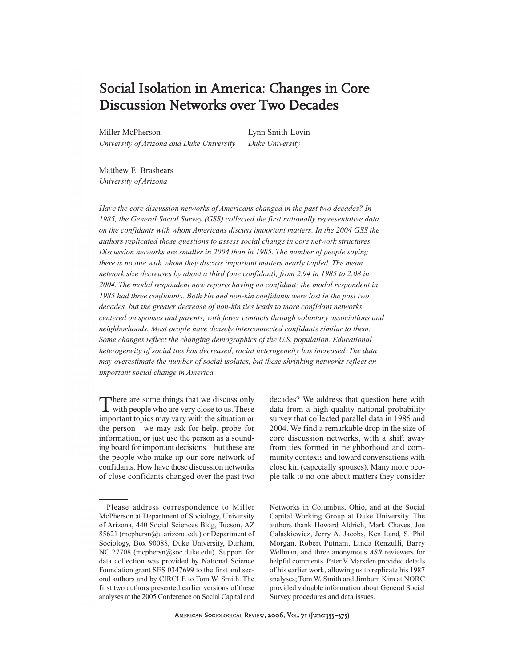# Social Isolation in America: Changes in Core Discussion Networks over Two Decades

Miller McPherson Lynn Smith-Lovin *University of Arizona and Duke University Duke University*

Matthew E. Brashears *University of Arizona*

*Have the core discussion networks of Americans changed in the past two decades? In 1985, the General Social Survey (GSS) collected the first nationally representative data on the confidants with whom Americans discuss important matters. In the 2004 GSS the authors replicated those questions to assess social change in core network structures. Discussion networks are smaller in 2004 than in 1985. The number of people saying there is no one with whom they discuss important matters nearly tripled. The mean network size decreases by about a third (one confidant), from 2.94 in 1985 to 2.08 in 2004. The modal respondent now reports having no confidant; the modal respondent in 1985 had three confidants. Both kin and non-kin confidants were lost in the past two decades, but the greater decrease of non-kin ties leads to more confidant networks centered on spouses and parents, with fewer contacts through voluntary associations and neighborhoods. Most people have densely interconnected confidants similar to them. Some changes reflect the changing demographics of the U.S. population. Educational heterogeneity of social ties has decreased, racial heterogeneity has increased. The data may overestimate the number of social isolates, but these shrinking networks reflect an important social change in America*

There are some things that we discuss only with people who are very close to us. These important topics may vary with the situation or the person—we may ask for help, probe for information, or just use the person as a sounding board for important decisions—but these are the people who make up our core network of confidants. How have these discussion networks of close confidants changed over the past two

decades? We address that question here with data from a high-quality national probability survey that collected parallel data in 1985 and 2004. We find a remarkable drop in the size of core discussion networks, with a shift away from ties formed in neighborhood and community contexts and toward conversations with close kin (especially spouses). Many more people talk to no one about matters they consider

Networks in Columbus, Ohio, and at the Social Capital Working Group at Duke University. The authors thank Howard Aldrich, Mark Chaves, Joe Galaskiewicz, Jerry A. Jacobs, Ken Land, S. Phil Morgan, Robert Putnam, Linda Renzulli, Barry Wellman, and three anonymous *ASR* reviewers for helpful comments. Peter V. Marsden provided details of his earlier work, allowing us to replicate his 1987 analyses; Tom W. Smith and Jimbum Kim at NORC provided valuable information about General Social Survey procedures and data issues.

Please address correspondence to Miller McPherson at Department of Sociology, University of Arizona, 440 Social Sciences Bldg, Tucson, AZ 85621 (mcphersn@u.arizona.edu) or Department of Sociology, Box 90088, Duke University, Durham, NC 27708 (mcphersn@soc.duke.edu). Support for data collection was provided by National Science Foundation grant SES 0347699 to the first and second authors and by CIRCLE to Tom W. Smith. The first two authors presented earlier versions of these analyses at the 2005 Conference on Social Capital and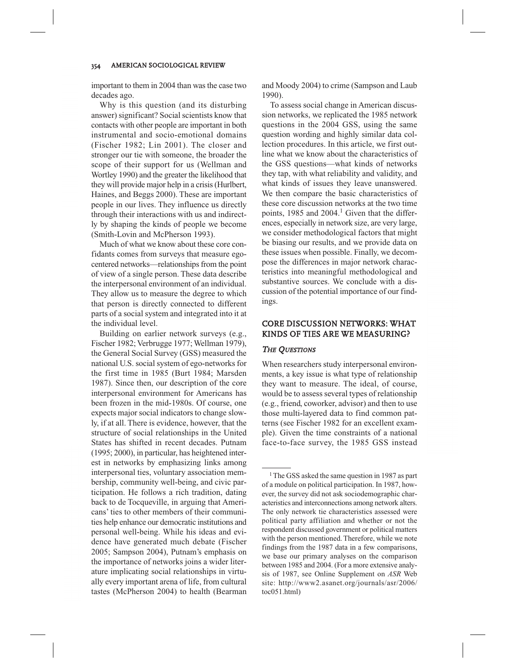important to them in 2004 than was the case two decades ago.

Why is this question (and its disturbing answer) significant? Social scientists know that contacts with other people are important in both instrumental and socio-emotional domains (Fischer 1982; Lin 2001). The closer and stronger our tie with someone, the broader the scope of their support for us (Wellman and Wortley 1990) and the greater the likelihood that they will provide major help in a crisis (Hurlbert, Haines, and Beggs 2000). These are important people in our lives. They influence us directly through their interactions with us and indirectly by shaping the kinds of people we become (Smith-Lovin and McPherson 1993).

Much of what we know about these core confidants comes from surveys that measure egocentered networks—relationships from the point of view of a single person. These data describe the interpersonal environment of an individual. They allow us to measure the degree to which that person is directly connected to different parts of a social system and integrated into it at the individual level.

Building on earlier network surveys (e.g., Fischer 1982; Verbrugge 1977; Wellman 1979), the General Social Survey (GSS) measured the national U.S. social system of ego-networks for the first time in 1985 (Burt 1984; Marsden 1987). Since then, our description of the core interpersonal environment for Americans has been frozen in the mid-1980s. Of course, one expects major social indicators to change slowly, if at all. There is evidence, however, that the structure of social relationships in the United States has shifted in recent decades. Putnam (1995; 2000), in particular, has heightened interest in networks by emphasizing links among interpersonal ties, voluntary association membership, community well-being, and civic participation. He follows a rich tradition, dating back to de Tocqueville, in arguing that Americans' ties to other members of their communities help enhance our democratic institutions and personal well-being. While his ideas and evidence have generated much debate (Fischer 2005; Sampson 2004), Putnam's emphasis on the importance of networks joins a wider literature implicating social relationships in virtually every important arena of life, from cultural tastes (McPherson 2004) to health (Bearman

and Moody 2004) to crime (Sampson and Laub 1990).

To assess social change in American discussion networks, we replicated the 1985 network questions in the 2004 GSS, using the same question wording and highly similar data collection procedures. In this article, we first outline what we know about the characteristics of the GSS questions—what kinds of networks they tap, with what reliability and validity, and what kinds of issues they leave unanswered. We then compare the basic characteristics of these core discussion networks at the two time points, 1985 and 2004.<sup>1</sup> Given that the differences, especially in network size, are very large, we consider methodological factors that might be biasing our results, and we provide data on these issues when possible. Finally, we decompose the differences in major network characteristics into meaningful methodological and substantive sources. We conclude with a discussion of the potential importance of our findings.

# CORE DISCUSSION NETWORKS: WHAT KINDS OF TIES ARE WE MEASURING?

#### THE QUESTIONS

When researchers study interpersonal environments, a key issue is what type of relationship they want to measure. The ideal, of course, would be to assess several types of relationship (e.g., friend, coworker, advisor) and then to use those multi-layered data to find common patterns (see Fischer 1982 for an excellent example). Given the time constraints of a national face-to-face survey, the 1985 GSS instead

<sup>&</sup>lt;sup>1</sup> The GSS asked the same question in 1987 as part of a module on political participation. In 1987, however, the survey did not ask sociodemographic characteristics and interconnections among network alters. The only network tie characteristics assessed were political party affiliation and whether or not the respondent discussed government or political matters with the person mentioned. Therefore, while we note findings from the 1987 data in a few comparisons, we base our primary analyses on the comparison between 1985 and 2004. (For a more extensive analysis of 1987, see Online Supplement on *ASR* Web site: http://www2.asanet.org/journals/asr/2006/ toc051.html)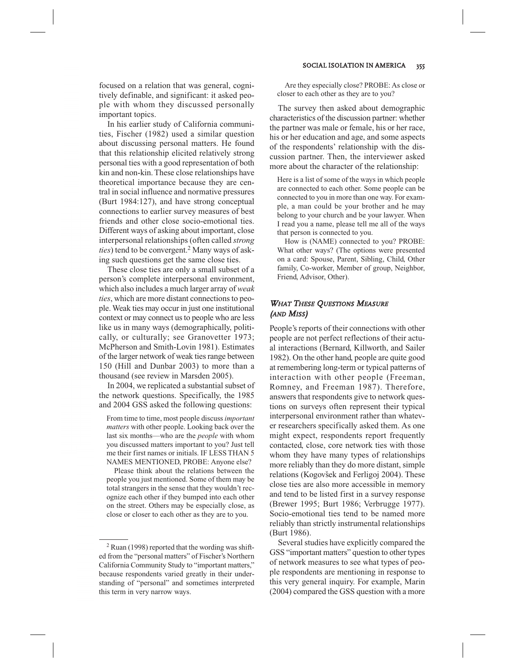focused on a relation that was general, cognitively definable, and significant: it asked people with whom they discussed personally important topics.

In his earlier study of California communities, Fischer (1982) used a similar question about discussing personal matters. He found that this relationship elicited relatively strong personal ties with a good representation of both kin and non-kin. These close relationships have theoretical importance because they are central in social influence and normative pressures (Burt 1984:127), and have strong conceptual connections to earlier survey measures of best friends and other close socio-emotional ties. Different ways of asking about important, close interpersonal relationships (often called *strong ties*) tend to be convergent.<sup>2</sup> Many ways of asking such questions get the same close ties.

These close ties are only a small subset of a person's complete interpersonal environment, which also includes a much larger array of *weak ties*, which are more distant connections to people. Weak ties may occur in just one institutional context or may connect us to people who are less like us in many ways (demographically, politically, or culturally; see Granovetter 1973; McPherson and Smith-Lovin 1981). Estimates of the larger network of weak ties range between 150 (Hill and Dunbar 2003) to more than a thousand (see review in Marsden 2005).

In 2004, we replicated a substantial subset of the network questions. Specifically, the 1985 and 2004 GSS asked the following questions:

From time to time, most people discuss *important matters* with other people. Looking back over the last six months—who are the *people* with whom you discussed matters important to you? Just tell me their first names or initials. IF LESS THAN 5 NAMES MENTIONED, PROBE: Anyone else?

Please think about the relations between the people you just mentioned. Some of them may be total strangers in the sense that they wouldn't recognize each other if they bumped into each other on the street. Others may be especially close, as close or closer to each other as they are to you.

Are they especially close? PROBE: As close or closer to each other as they are to you?

The survey then asked about demographic characteristics of the discussion partner: whether the partner was male or female, his or her race, his or her education and age, and some aspects of the respondents' relationship with the discussion partner. Then, the interviewer asked more about the character of the relationship:

Here is a list of some of the ways in which people are connected to each other. Some people can be connected to you in more than one way. For example, a man could be your brother and he may belong to your church and be your lawyer. When I read you a name, please tell me all of the ways that person is connected to you.

How is (NAME) connected to you? PROBE: What other ways? (The options were presented on a card: Spouse, Parent, Sibling, Child, Other family, Co-worker, Member of group, Neighbor, Friend, Advisor, Other).

## WHAT THESE QUESTIONS MEASURE (AND MISS)

People's reports of their connections with other people are not perfect reflections of their actual interactions (Bernard, Killworth, and Sailer 1982). On the other hand, people are quite good at remembering long-term or typical patterns of interaction with other people (Freeman, Romney, and Freeman 1987). Therefore, answers that respondents give to network questions on surveys often represent their typical interpersonal environment rather than whatever researchers specifically asked them. As one might expect, respondents report frequently contacted, close, core network ties with those whom they have many types of relationships more reliably than they do more distant, simple relations (Kogovšek and Ferligoj 2004). These close ties are also more accessible in memory and tend to be listed first in a survey response (Brewer 1995; Burt 1986; Verbrugge 1977). Socio-emotional ties tend to be named more reliably than strictly instrumental relationships (Burt 1986).

Several studies have explicitly compared the GSS "important matters" question to other types of network measures to see what types of people respondents are mentioning in response to this very general inquiry. For example, Marin (2004) compared the GSS question with a more

 $2$  Ruan (1998) reported that the wording was shifted from the "personal matters" of Fischer's Northern California Community Study to "important matters," because respondents varied greatly in their understanding of "personal" and sometimes interpreted this term in very narrow ways.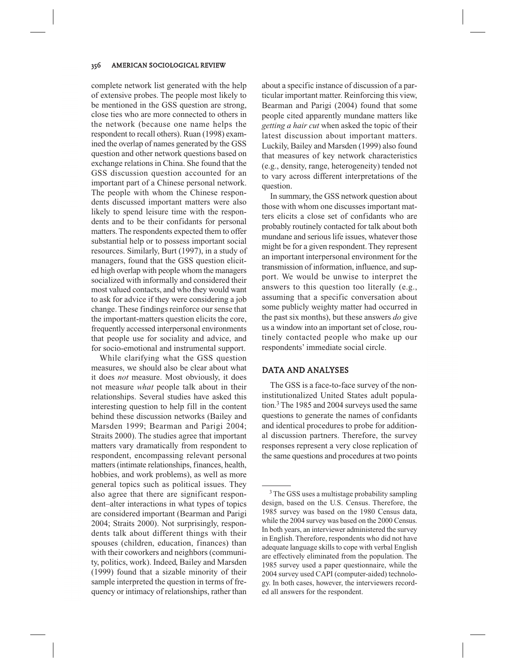complete network list generated with the help of extensive probes. The people most likely to be mentioned in the GSS question are strong, close ties who are more connected to others in the network (because one name helps the respondent to recall others). Ruan (1998) examined the overlap of names generated by the GSS question and other network questions based on exchange relations in China. She found that the GSS discussion question accounted for an important part of a Chinese personal network. The people with whom the Chinese respondents discussed important matters were also likely to spend leisure time with the respondents and to be their confidants for personal matters. The respondents expected them to offer substantial help or to possess important social resources. Similarly, Burt (1997), in a study of managers, found that the GSS question elicited high overlap with people whom the managers socialized with informally and considered their most valued contacts, and who they would want to ask for advice if they were considering a job change. These findings reinforce our sense that the important-matters question elicits the core, frequently accessed interpersonal environments that people use for sociality and advice, and for socio-emotional and instrumental support.

While clarifying what the GSS question measures, we should also be clear about what it does *not* measure. Most obviously, it does not measure *what* people talk about in their relationships. Several studies have asked this interesting question to help fill in the content behind these discussion networks (Bailey and Marsden 1999; Bearman and Parigi 2004; Straits 2000). The studies agree that important matters vary dramatically from respondent to respondent, encompassing relevant personal matters (intimate relationships, finances, health, hobbies, and work problems), as well as more general topics such as political issues. They also agree that there are significant respondent–alter interactions in what types of topics are considered important (Bearman and Parigi 2004; Straits 2000). Not surprisingly, respondents talk about different things with their spouses (children, education, finances) than with their coworkers and neighbors (community, politics, work). Indeed, Bailey and Marsden (1999) found that a sizable minority of their sample interpreted the question in terms of frequency or intimacy of relationships, rather than about a specific instance of discussion of a particular important matter. Reinforcing this view, Bearman and Parigi (2004) found that some people cited apparently mundane matters like *getting a hair cut* when asked the topic of their latest discussion about important matters. Luckily, Bailey and Marsden (1999) also found that measures of key network characteristics (e.g., density, range, heterogeneity) tended not to vary across different interpretations of the question.

In summary, the GSS network question about those with whom one discusses important matters elicits a close set of confidants who are probably routinely contacted for talk about both mundane and serious life issues, whatever those might be for a given respondent. They represent an important interpersonal environment for the transmission of information, influence, and support. We would be unwise to interpret the answers to this question too literally (e.g., assuming that a specific conversation about some publicly weighty matter had occurred in the past six months), but these answers *do* give us a window into an important set of close, routinely contacted people who make up our respondents' immediate social circle.

#### DATA AND ANALYSES

The GSS is a face-to-face survey of the noninstitutionalized United States adult population.3The 1985 and 2004 surveys used the same questions to generate the names of confidants and identical procedures to probe for additional discussion partners. Therefore, the survey responses represent a very close replication of the same questions and procedures at two points

<sup>&</sup>lt;sup>3</sup> The GSS uses a multistage probability sampling design, based on the U.S. Census. Therefore, the 1985 survey was based on the 1980 Census data, while the 2004 survey was based on the 2000 Census. In both years, an interviewer administered the survey in English. Therefore, respondents who did not have adequate language skills to cope with verbal English are effectively eliminated from the population. The 1985 survey used a paper questionnaire, while the 2004 survey used CAPI (computer-aided) technology. In both cases, however, the interviewers recorded all answers for the respondent.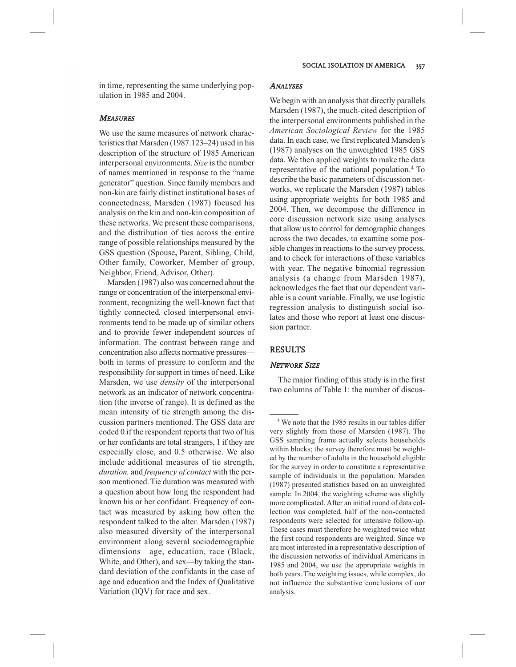## **MEASURES**

We use the same measures of network characteristics that Marsden (1987:123–24) used in his description of the structure of 1985 American interpersonal environments. *Size* is the number of names mentioned in response to the "name generator" question. Since family members and non-kin are fairly distinct institutional bases of connectedness, Marsden (1987) focused his analysis on the kin and non-kin composition of these networks. We present these comparisons, and the distribution of ties across the entire range of possible relationships measured by the GSS question (Spouse**,** Parent, Sibling, Child, Other family, Coworker, Member of group, Neighbor, Friend, Advisor, Other).

Marsden (1987) also was concerned about the range or concentration of the interpersonal environment, recognizing the well-known fact that tightly connected, closed interpersonal environments tend to be made up of similar others and to provide fewer independent sources of information. The contrast between range and concentration also affects normative pressures both in terms of pressure to conform and the responsibility for support in times of need. Like Marsden, we use *density* of the interpersonal network as an indicator of network concentration (the inverse of range). It is defined as the mean intensity of tie strength among the discussion partners mentioned. The GSS data are coded 0 if the respondent reports that two of his or her confidants are total strangers, 1 if they are especially close, and 0.5 otherwise. We also include additional measures of tie strength, *duration,* and *frequency of contact* with the person mentioned. Tie duration was measured with a question about how long the respondent had known his or her confidant. Frequency of contact was measured by asking how often the respondent talked to the alter. Marsden (1987) also measured diversity of the interpersonal environment along several sociodemographic dimensions—age, education, race (Black, White, and Other), and sex—by taking the standard deviation of the confidants in the case of age and education and the Index of Qualitative Variation (IQV) for race and sex.

#### **ANALYSES**

We begin with an analysis that directly parallels Marsden (1987), the much-cited description of the interpersonal environments published in the *American Sociological Review* for the 1985 data. In each case, we first replicated Marsden's (1987) analyses on the unweighted 1985 GSS data. We then applied weights to make the data representative of the national population.<sup>4</sup> To describe the basic parameters of discussion networks, we replicate the Marsden (1987) tables using appropriate weights for both 1985 and 2004. Then, we decompose the difference in core discussion network size using analyses that allow us to control for demographic changes across the two decades, to examine some possible changes in reactions to the survey process, and to check for interactions of these variables with year. The negative binomial regression analysis (a change from Marsden 1987), acknowledges the fact that our dependent variable is a count variable. Finally, we use logistic regression analysis to distinguish social isolates and those who report at least one discussion partner.

## RESULTS

## NETWORK SIZE

The major finding of this study is in the first two columns of Table 1: the number of discus-

<sup>4</sup> We note that the 1985 results in our tables differ very slightly from those of Marsden (1987). The GSS sampling frame actually selects households within blocks; the survey therefore must be weighted by the number of adults in the household eligible for the survey in order to constitute a representative sample of individuals in the population. Marsden (1987) presented statistics based on an unweighted sample. In 2004, the weighting scheme was slightly more complicated. After an initial round of data collection was completed, half of the non-contacted respondents were selected for intensive follow-up. These cases must therefore be weighted twice what the first round respondents are weighted. Since we are most interested in a representative description of the discussion networks of individual Americans in 1985 and 2004, we use the appropriate weights in both years. The weighting issues, while complex, do not influence the substantive conclusions of our analysis.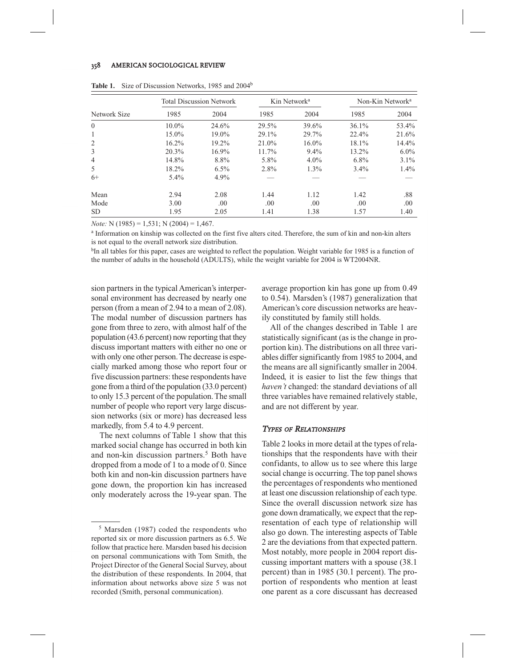|              | <b>Total Discussion Network</b> |         |       | Kin Network <sup>a</sup> | Non-Kin Network <sup>a</sup> |         |
|--------------|---------------------------------|---------|-------|--------------------------|------------------------------|---------|
| Network Size | 1985                            | 2004    | 1985  | 2004                     | 1985                         | 2004    |
| $\Omega$     | $10.0\%$                        | 24.6%   | 29.5% | 39.6%                    | 36.1%                        | 53.4%   |
| 1            | $15.0\%$                        | 19.0%   | 29.1% | 29.7%                    | 22.4%                        | 21.6%   |
| 2            | $16.2\%$                        | 19.2%   | 21.0% | $16.0\%$                 | 18.1%                        | 14.4%   |
| 3            | 20.3%                           | 16.9%   | 11.7% | $9.4\%$                  | 13.2%                        | $6.0\%$ |
| 4            | 14.8%                           | 8.8%    | 5.8%  | $4.0\%$                  | $6.8\%$                      | $3.1\%$ |
| 5            | 18.2%                           | $6.5\%$ | 2.8%  | $1.3\%$                  | $3.4\%$                      | $1.4\%$ |
| $6+$         | $5.4\%$                         | 4.9%    |       |                          |                              |         |
| Mean         | 2.94                            | 2.08    | 1.44  | 1.12                     | 1.42                         | .88     |
| Mode         | 3.00                            | .00.    | .00.  | .00.                     | .00.                         | .00     |
| <b>SD</b>    | 1.95                            | 2.05    | 1.41  | 1.38                     | 1.57                         | 1.40    |

|  | <b>Table 1.</b> Size of Discussion Networks, 1985 and 2004 <sup>b</sup> |  |  |  |
|--|-------------------------------------------------------------------------|--|--|--|
|--|-------------------------------------------------------------------------|--|--|--|

*Note:* N (1985) = 1,531; N (2004) = 1,467.

<sup>a</sup> Information on kinship was collected on the first five alters cited. Therefore, the sum of kin and non-kin alters is not equal to the overall network size distribution.

<sup>b</sup>In all tables for this paper, cases are weighted to reflect the population. Weight variable for 1985 is a function of the number of adults in the household (ADULTS), while the weight variable for 2004 is WT2004NR.

sion partners in the typical American's interpersonal environment has decreased by nearly one person (from a mean of 2.94 to a mean of 2.08). The modal number of discussion partners has gone from three to zero, with almost half of the population (43.6 percent) now reporting that they discuss important matters with either no one or with only one other person. The decrease is especially marked among those who report four or five discussion partners: these respondents have gone from a third of the population (33.0 percent) to only 15.3 percent of the population. The small number of people who report very large discussion networks (six or more) has decreased less markedly, from 5.4 to 4.9 percent.

The next columns of Table 1 show that this marked social change has occurred in both kin and non-kin discussion partners.<sup>5</sup> Both have dropped from a mode of 1 to a mode of 0. Since both kin and non-kin discussion partners have gone down, the proportion kin has increased only moderately across the 19-year span. The average proportion kin has gone up from 0.49 to 0.54). Marsden's (1987) generalization that American's core discussion networks are heavily constituted by family still holds.

All of the changes described in Table 1 are statistically significant (as is the change in proportion kin). The distributions on all three variables differ significantly from 1985 to 2004, and the means are all significantly smaller in 2004. Indeed, it is easier to list the few things that *haven't* changed: the standard deviations of all three variables have remained relatively stable, and are not different by year.

#### TYPES OF RELATIONSHIPS

Table 2 looks in more detail at the types of relationships that the respondents have with their confidants, to allow us to see where this large social change is occurring. The top panel shows the percentages of respondents who mentioned at least one discussion relationship of each type. Since the overall discussion network size has gone down dramatically, we expect that the representation of each type of relationship will also go down. The interesting aspects of Table 2 are the deviations from that expected pattern. Most notably, more people in 2004 report discussing important matters with a spouse (38.1 percent) than in 1985 (30.1 percent). The proportion of respondents who mention at least one parent as a core discussant has decreased

<sup>5</sup> Marsden (1987) coded the respondents who reported six or more discussion partners as 6.5. We follow that practice here. Marsden based his decision on personal communications with Tom Smith, the Project Director of the General Social Survey, about the distribution of these respondents. In 2004, that information about networks above size 5 was not recorded (Smith, personal communication).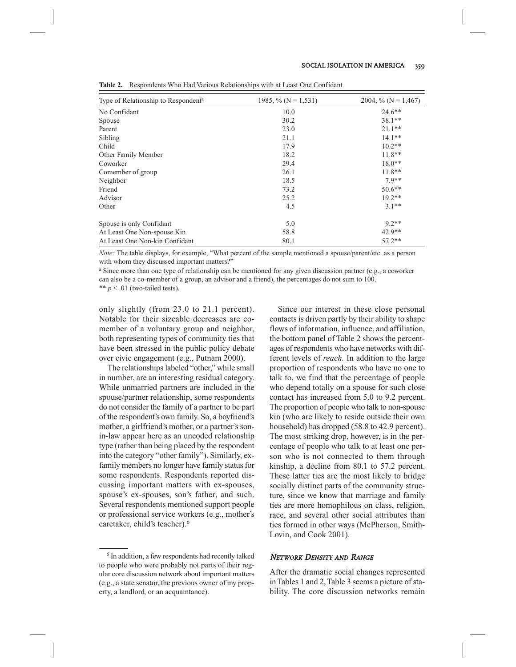| Type of Relationship to Respondent <sup>a</sup> | 1985, % ( $N = 1,531$ ) | 2004, % ( $N = 1,467$ ) |
|-------------------------------------------------|-------------------------|-------------------------|
| No Confidant                                    | 10.0                    | $24.6***$               |
| Spouse                                          | 30.2                    | $38.1**$                |
| Parent                                          | 23.0                    | $21.1***$               |
| Sibling                                         | 21.1                    | $14.1***$               |
| Child                                           | 17.9                    | $10.2**$                |
| Other Family Member                             | 18.2                    | $11.8**$                |
| Coworker                                        | 29.4                    | $18.0**$                |
| Comember of group                               | 26.1                    | $11.8**$                |
| Neighbor                                        | 18.5                    | $7.9**$                 |
| Friend                                          | 73.2                    | $50.6**$                |
| Advisor                                         | 25.2                    | $19.2**$                |
| Other                                           | 4.5                     | $3.1**$                 |
| Spouse is only Confidant                        | 5.0                     | $9.2**$                 |
| At Least One Non-spouse Kin                     | 58.8                    | $42.9**$                |
| At Least One Non-kin Confidant                  | 80.1                    | $57.2**$                |

**Table 2.** Respondents Who Had Various Relationships with at Least One Confidant

*Note:* The table displays, for example, "What percent of the sample mentioned a spouse/parent/etc. as a person with whom they discussed important matters?"

<sup>a</sup> Since more than one type of relationship can be mentioned for any given discussion partner (e.g., a coworker can also be a co-member of a group, an advisor and a friend), the percentages do not sum to 100. \*\* *p* < .01 (two-tailed tests).

only slightly (from 23.0 to 21.1 percent). Notable for their sizeable decreases are comember of a voluntary group and neighbor, both representing types of community ties that have been stressed in the public policy debate over civic engagement (e.g., Putnam 2000).

The relationships labeled "other," while small in number, are an interesting residual category. While unmarried partners are included in the spouse/partner relationship, some respondents do not consider the family of a partner to be part of the respondent's own family. So, a boyfriend's mother, a girlfriend's mother, or a partner's sonin-law appear here as an uncoded relationship type (rather than being placed by the respondent into the category "other family"). Similarly, exfamily members no longer have family status for some respondents. Respondents reported discussing important matters with ex-spouses, spouse's ex-spouses, son's father, and such. Several respondents mentioned support people or professional service workers (e.g., mother's caretaker, child's teacher).<sup>6</sup>

Since our interest in these close personal contacts is driven partly by their ability to shape flows of information, influence, and affiliation, the bottom panel of Table 2 shows the percentages of respondents who have networks with different levels of *reach.* In addition to the large proportion of respondents who have no one to talk to, we find that the percentage of people who depend totally on a spouse for such close contact has increased from 5.0 to 9.2 percent. The proportion of people who talk to non-spouse kin (who are likely to reside outside their own household) has dropped (58.8 to 42.9 percent). The most striking drop, however, is in the percentage of people who talk to at least one person who is not connected to them through kinship, a decline from 80.1 to 57.2 percent. These latter ties are the most likely to bridge socially distinct parts of the community structure, since we know that marriage and family ties are more homophilous on class, religion, race, and several other social attributes than ties formed in other ways (McPherson, Smith-Lovin, and Cook 2001).

## NETWORK DENSITY AND RANGE

After the dramatic social changes represented in Tables 1 and 2, Table 3 seems a picture of stability. The core discussion networks remain

<sup>6</sup> In addition, a few respondents had recently talked to people who were probably not parts of their regular core discussion network about important matters (e.g., a state senator, the previous owner of my property, a landlord, or an acquaintance).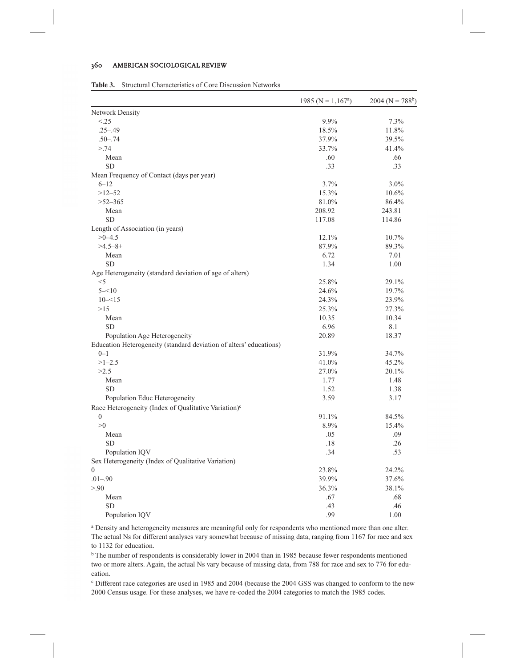#### 360 AMERICAN SOCIOLOGICAL REVIEW

| <b>Table 3.</b> Structural Characteristics of Core Discussion Networks |
|------------------------------------------------------------------------|
|------------------------------------------------------------------------|

|                                                                    | 1985 (N = $1,167^a$ ) | $2004 (N = 788b)$ |
|--------------------------------------------------------------------|-----------------------|-------------------|
| Network Density                                                    |                       |                   |
| < .25                                                              | 9.9%                  | 7.3%              |
| $.25 - .49$                                                        | 18.5%                 | 11.8%             |
| $.50 - .74$                                                        | 37.9%                 | 39.5%             |
| > 74                                                               | 33.7%                 | 41.4%             |
| Mean                                                               | .60                   | .66               |
| <b>SD</b>                                                          | .33                   | .33               |
| Mean Frequency of Contact (days per year)                          |                       |                   |
| $6 - 12$                                                           | 3.7%                  | 3.0%              |
| $>12 - 52$                                                         | 15.3%                 | 10.6%             |
| $>52 - 365$                                                        | 81.0%                 | 86.4%             |
| Mean                                                               | 208.92                | 243.81            |
| <b>SD</b>                                                          | 117.08                | 114.86            |
| Length of Association (in years)                                   |                       |                   |
| $>0 - 4.5$                                                         | 12.1%                 | 10.7%             |
| $>4.5-8+$                                                          | 87.9%                 | 89.3%             |
| Mean                                                               | 6.72                  | 7.01              |
| <b>SD</b>                                                          | 1.34                  | 1.00              |
| Age Heterogeneity (standard deviation of age of alters)            |                       |                   |
| $<$ 5                                                              | 25.8%                 | 29.1%             |
| $5 - 10$                                                           | 24.6%                 | 19.7%             |
| $10 - 15$                                                          | 24.3%                 | 23.9%             |
| >15                                                                | 25.3%                 | 27.3%             |
| Mean                                                               | 10.35                 | 10.34             |
| SD                                                                 | 6.96                  | 8.1               |
| Population Age Heterogeneity                                       | 20.89                 | 18.37             |
| Education Heterogeneity (standard deviation of alters' educations) |                       |                   |
| $0 - 1$                                                            | 31.9%                 | 34.7%             |
| $>1 - 2.5$                                                         | 41.0%                 | 45.2%             |
| >2.5                                                               | 27.0%                 | 20.1%             |
| Mean                                                               | 1.77                  | 1.48              |
| SD                                                                 | 1.52                  | 1.38              |
| Population Educ Heterogeneity                                      | 3.59                  | 3.17              |
| Race Heterogeneity (Index of Qualitative Variation) <sup>c</sup>   |                       |                   |
| $\mathbf{0}$                                                       | 91.1%                 | 84.5%             |
| >0                                                                 | 8.9%                  | 15.4%             |
| Mean                                                               | .05                   | .09               |
| <b>SD</b>                                                          | .18                   | .26               |
| Population IQV                                                     | .34                   | .53               |
| Sex Heterogeneity (Index of Qualitative Variation)                 |                       |                   |
| $\boldsymbol{0}$                                                   | 23.8%                 | 24.2%             |
| $.01 - .90$                                                        | 39.9%                 | 37.6%             |
| > 0.90                                                             | 36.3%                 | 38.1%             |
| Mean                                                               | .67                   | .68               |
| SD                                                                 | .43                   | .46               |
| Population IQV                                                     | .99                   | 1.00              |

<sup>a</sup> Density and heterogeneity measures are meaningful only for respondents who mentioned more than one alter. The actual Ns for different analyses vary somewhat because of missing data, ranging from 1167 for race and sex to 1132 for education.

<sup>b</sup> The number of respondents is considerably lower in 2004 than in 1985 because fewer respondents mentioned two or more alters. Again, the actual Ns vary because of missing data, from 788 for race and sex to 776 for education.

<sup>c</sup> Different race categories are used in 1985 and 2004 (because the 2004 GSS was changed to conform to the new 2000 Census usage. For these analyses, we have re-coded the 2004 categories to match the 1985 codes.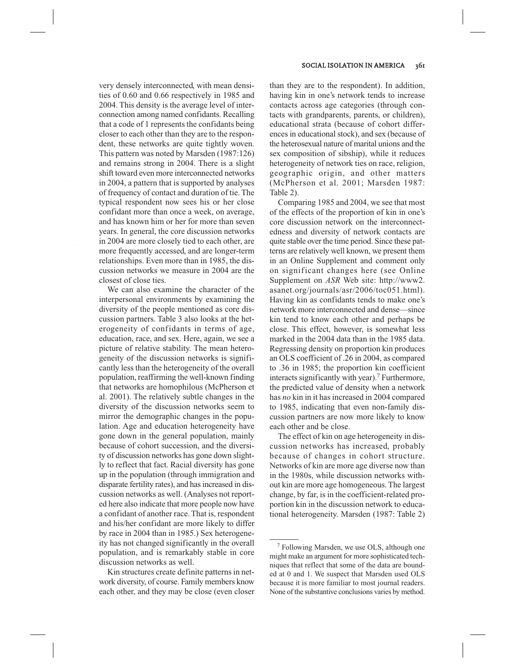very densely interconnected, with mean densities of 0.60 and 0.66 respectively in 1985 and 2004. This density is the average level of interconnection among named confidants. Recalling that a code of 1 represents the confidants being closer to each other than they are to the respondent, these networks are quite tightly woven. This pattern was noted by Marsden (1987:126) and remains strong in 2004. There is a slight shift toward even more interconnected networks in 2004, a pattern that is supported by analyses of frequency of contact and duration of tie. The typical respondent now sees his or her close confidant more than once a week, on average, and has known him or her for more than seven years. In general, the core discussion networks in 2004 are more closely tied to each other, are more frequently accessed, and are longer-term relationships. Even more than in 1985, the discussion networks we measure in 2004 are the closest of close ties.

We can also examine the character of the interpersonal environments by examining the diversity of the people mentioned as core discussion partners. Table 3 also looks at the heterogeneity of confidants in terms of age, education, race, and sex. Here, again, we see a picture of relative stability. The mean heterogeneity of the discussion networks is significantly less than the heterogeneity of the overall population, reaffirming the well-known finding that networks are homophilous (McPherson et al. 2001). The relatively subtle changes in the diversity of the discussion networks seem to mirror the demographic changes in the population. Age and education heterogeneity have gone down in the general population, mainly because of cohort succession, and the diversity of discussion networks has gone down slightly to reflect that fact. Racial diversity has gone up in the population (through immigration and disparate fertility rates), and has increased in discussion networks as well. (Analyses not reported here also indicate that more people now have a confidant of another race. That is, respondent and his/her confidant are more likely to differ by race in 2004 than in 1985.) Sex heterogeneity has not changed significantly in the overall population, and is remarkably stable in core discussion networks as well.

Kin structures create definite patterns in network diversity, of course. Family members know each other, and they may be close (even closer

than they are to the respondent). In addition, having kin in one's network tends to increase contacts across age categories (through contacts with grandparents, parents, or children), educational strata (because of cohort differences in educational stock), and sex (because of the heterosexual nature of marital unions and the sex composition of sibship), while it reduces heterogeneity of network ties on race, religion, geographic origin, and other matters (McPherson et al. 2001; Marsden 1987: Table 2).

Comparing 1985 and 2004, we see that most of the effects of the proportion of kin in one's core discussion network on the interconnectedness and diversity of network contacts are quite stable over the time period. Since these patterns are relatively well known, we present them in an Online Supplement and comment only on significant changes here (see Online Supplement on *ASR* Web site: http://www2. asanet.org/journals/asr/2006/toc051.html). Having kin as confidants tends to make one's network more interconnected and dense—since kin tend to know each other and perhaps be close. This effect, however, is somewhat less marked in the 2004 data than in the 1985 data. Regressing density on proportion kin produces an OLS coefficient of .26 in 2004, as compared to .36 in 1985; the proportion kin coefficient interacts significantly with year).<sup>7</sup> Furthermore, the predicted value of density when a network has *no* kin in it has increased in 2004 compared to 1985, indicating that even non-family discussion partners are now more likely to know each other and be close.

The effect of kin on age heterogeneity in discussion networks has increased, probably because of changes in cohort structure. Networks of kin are more age diverse now than in the 1980s, while discussion networks without kin are more age homogeneous. The largest change, by far, is in the coefficient-related proportion kin in the discussion network to educational heterogeneity. Marsden (1987: Table 2)

<sup>7</sup> Following Marsden, we use OLS, although one might make an argument for more sophisticated techniques that reflect that some of the data are bounded at 0 and 1. We suspect that Marsden used OLS because it is more familiar to most journal readers. None of the substantive conclusions varies by method.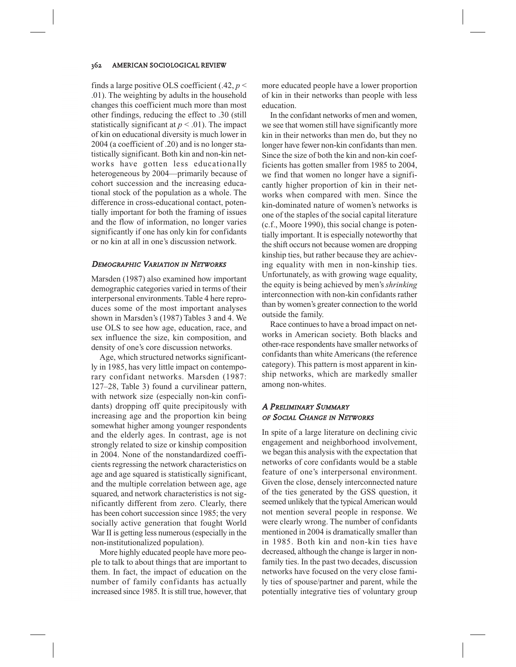finds a large positive OLS coefficient  $(.42, p <$ .01). The weighting by adults in the household changes this coefficient much more than most other findings, reducing the effect to .30 (still statistically significant at  $p < .01$ ). The impact of kin on educational diversity is much lower in 2004 (a coefficient of .20) and is no longer statistically significant. Both kin and non-kin networks have gotten less educationally heterogeneous by 2004—primarily because of cohort succession and the increasing educational stock of the population as a whole. The difference in cross-educational contact, potentially important for both the framing of issues and the flow of information, no longer varies significantly if one has only kin for confidants or no kin at all in one's discussion network.

## DEMOGRAPHIC VARIATION IN NETWORKS

Marsden (1987) also examined how important demographic categories varied in terms of their interpersonal environments. Table 4 here reproduces some of the most important analyses shown in Marsden's (1987) Tables 3 and 4. We use OLS to see how age, education, race, and sex influence the size, kin composition, and density of one's core discussion networks.

Age, which structured networks significantly in 1985, has very little impact on contemporary confidant networks. Marsden (1987: 127–28, Table 3) found a curvilinear pattern, with network size (especially non-kin confidants) dropping off quite precipitously with increasing age and the proportion kin being somewhat higher among younger respondents and the elderly ages. In contrast, age is not strongly related to size or kinship composition in 2004. None of the nonstandardized coefficients regressing the network characteristics on age and age squared is statistically significant, and the multiple correlation between age, age squared, and network characteristics is not significantly different from zero. Clearly, there has been cohort succession since 1985; the very socially active generation that fought World War II is getting less numerous (especially in the non-institutionalized population).

More highly educated people have more people to talk to about things that are important to them. In fact, the impact of education on the number of family confidants has actually increased since 1985. It is still true, however, that more educated people have a lower proportion of kin in their networks than people with less education.

In the confidant networks of men and women, we see that women still have significantly more kin in their networks than men do, but they no longer have fewer non-kin confidants than men. Since the size of both the kin and non-kin coefficients has gotten smaller from 1985 to 2004, we find that women no longer have a significantly higher proportion of kin in their networks when compared with men. Since the kin-dominated nature of women's networks is one of the staples of the social capital literature (c.f., Moore 1990), this social change is potentially important. It is especially noteworthy that the shift occurs not because women are dropping kinship ties, but rather because they are achieving equality with men in non-kinship ties. Unfortunately, as with growing wage equality, the equity is being achieved by men's *shrinking* interconnection with non-kin confidants rather than by women's greater connection to the world outside the family.

Race continues to have a broad impact on networks in American society. Both blacks and other-race respondents have smaller networks of confidants than white Americans (the reference category). This pattern is most apparent in kinship networks, which are markedly smaller among non-whites.

# A PRELIMINARY SUMMARY OF SOCIAL CHANGE IN NETWORKS

In spite of a large literature on declining civic engagement and neighborhood involvement, we began this analysis with the expectation that networks of core confidants would be a stable feature of one's interpersonal environment. Given the close, densely interconnected nature of the ties generated by the GSS question, it seemed unlikely that the typical American would not mention several people in response. We were clearly wrong. The number of confidants mentioned in 2004 is dramatically smaller than in 1985. Both kin and non-kin ties have decreased, although the change is larger in nonfamily ties. In the past two decades, discussion networks have focused on the very close family ties of spouse/partner and parent, while the potentially integrative ties of voluntary group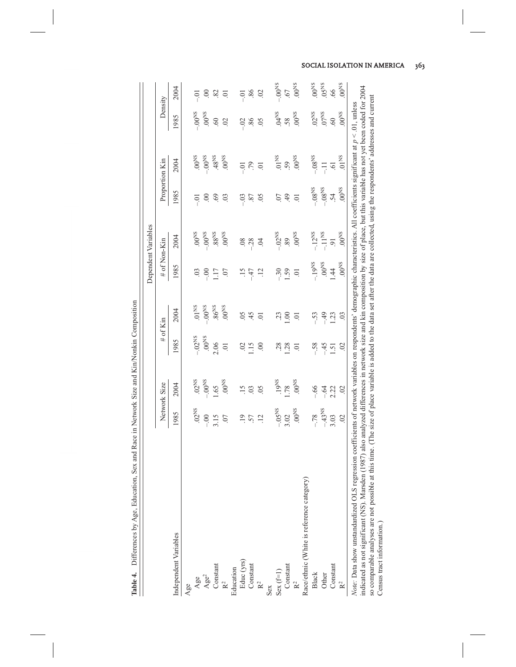|                                                                                                                                                                                                                                                                                                                                                                                                                                                                                                                                                                                               |                      |                  |                |                          |                 | Dependent Variables  |                     |                   |                      |                    |
|-----------------------------------------------------------------------------------------------------------------------------------------------------------------------------------------------------------------------------------------------------------------------------------------------------------------------------------------------------------------------------------------------------------------------------------------------------------------------------------------------------------------------------------------------------------------------------------------------|----------------------|------------------|----------------|--------------------------|-----------------|----------------------|---------------------|-------------------|----------------------|--------------------|
|                                                                                                                                                                                                                                                                                                                                                                                                                                                                                                                                                                                               |                      | Network Size     |                | # of Kin                 | # of Non-Kin    |                      |                     | Proportion Kin    | Density              |                    |
| Independent Variables                                                                                                                                                                                                                                                                                                                                                                                                                                                                                                                                                                         | 1985                 | 2004             | 1985           | 2004                     | 1985            | 2004                 | 1985                | 2004              | 1985                 | 2004               |
| Age                                                                                                                                                                                                                                                                                                                                                                                                                                                                                                                                                                                           |                      |                  |                |                          |                 |                      |                     |                   |                      |                    |
|                                                                                                                                                                                                                                                                                                                                                                                                                                                                                                                                                                                               | $.02$ <sub>NS</sub>  | 02 <sup>NS</sup> | $-.02NS$       | 01 <sub>MS</sub>         | $\overline{0}$  | $5800$ .             | $-0$                | $8000$            | $-.00$ <sup>NS</sup> | $-0.1$             |
|                                                                                                                                                                                                                                                                                                                                                                                                                                                                                                                                                                                               | $-0.00$              | $-0.00^{15}$     | $00^{\rm NS}$  | $-0.0$ <sup>NS</sup>     | $rac{1}{\cdot}$ | $-0.0$ <sup>NS</sup> | $\odot$             | $\rm s_{N}00^{-}$ | $00^{\text{NS}}$     | 00                 |
| Age <sup>2</sup><br>Age <sup>2</sup><br>Constant<br>R <sup>2</sup>                                                                                                                                                                                                                                                                                                                                                                                                                                                                                                                            | 3.15                 | l.65             | 2.06           | $86$ <sup>NS</sup>       | 117             | 88 <sup>NS</sup>     | 69.                 | .48NS             | .60                  | $82\,$             |
|                                                                                                                                                                                                                                                                                                                                                                                                                                                                                                                                                                                               | $\overline{0}$ .     | $8000$           | $\overline{0}$ | $00^{\rm NS}$            | $\overline{0}$  | $_{\rm SN00}$        | $\overline{0}$      | $8000$            | 02                   | $\overline{0}$     |
| Education                                                                                                                                                                                                                                                                                                                                                                                                                                                                                                                                                                                     |                      |                  |                |                          |                 |                      |                     |                   |                      |                    |
|                                                                                                                                                                                                                                                                                                                                                                                                                                                                                                                                                                                               | $\overline{.}$       | 15               | $\sim$         | $\widetilde{\mathrm{C}}$ | $\frac{15}{1}$  | 08                   | $-0.3$              | $-0$              | $-0.2$               | $-0.01$            |
| Educ (yrs)<br>Constant                                                                                                                                                                                                                                                                                                                                                                                                                                                                                                                                                                        | 57                   | $\overline{0}$   | 115            | 45                       | $-47$           | $-28$                | $\sim$              | .79               | 86                   | 86                 |
| $\mathsf{R}^2$                                                                                                                                                                                                                                                                                                                                                                                                                                                                                                                                                                                | $\overline{12}$      | $\overline{0}$   | $\infty$       | $\overline{0}$           | $\ddot{5}$      | $\overline{0}$       | 0 <sup>5</sup>      | $\overline{C}$    | 0.5                  | $\overline{0}$     |
| Sex                                                                                                                                                                                                                                                                                                                                                                                                                                                                                                                                                                                           |                      |                  |                |                          |                 |                      |                     |                   |                      |                    |
| $\begin{array}{c} \rm Sex \; (f=1) \\ \rm Constant \end{array}$                                                                                                                                                                                                                                                                                                                                                                                                                                                                                                                               | $-.05NS$             | 19NS             | 28             | 23                       | $-30$           | $-.02NS$             | <b>CO</b> .         | 01 <sub>NS</sub>  | $04$ <sup>NS</sup>   | $-0.00$ $^{\circ}$ |
|                                                                                                                                                                                                                                                                                                                                                                                                                                                                                                                                                                                               | 3.02                 | 1.78             | .28            | 00                       | 1.59            | 89                   | 49                  | 59                | 58.                  | .67                |
| $\mathbf{R}^2$                                                                                                                                                                                                                                                                                                                                                                                                                                                                                                                                                                                | $00^{18}$            | $_{\rm SN00}$    | ā              | ā                        | Ξ.              | $_{\rm SN00}$        | $\overline{0}$      | $00^{NS}$         | $00^{NS}$            | $00^{\rm NS}$      |
| Race/ethnic (White is reference category)                                                                                                                                                                                                                                                                                                                                                                                                                                                                                                                                                     |                      |                  |                |                          |                 |                      |                     |                   |                      |                    |
| Black                                                                                                                                                                                                                                                                                                                                                                                                                                                                                                                                                                                         | $-78$                | $-66$            | $-58$          | $-53$                    | $-19^{NS}$      | $-.12^{NS}$          | $-0.8$ $\mathrm{s}$ | $-.08N$           | .02 <sup>NS</sup>    | $00^{\rm NS}$      |
| Other                                                                                                                                                                                                                                                                                                                                                                                                                                                                                                                                                                                         | $-.43$ <sup>NS</sup> | $-64$            | $-45$          | $-49$                    | $00^{18}$       | $-11$ <sup>NS</sup>  | $-0.8$ NS           | Ħ                 | 07 <sup>NS</sup>     | 05 <sup>NS</sup>   |
| Constant                                                                                                                                                                                                                                                                                                                                                                                                                                                                                                                                                                                      | 3.03                 | 2.22             | 1.51           | 1.23                     | 1.44            | $\overline{9}$       | $\dot{5}4$          | $\overline{6}$    | .60                  | .66                |
|                                                                                                                                                                                                                                                                                                                                                                                                                                                                                                                                                                                               | $\approx$            | $\overline{0}$   | $\overline{0}$ | 03                       | $800$ .         | $00^{\rm NS}$        | $SO(0)$ .           | 01 <sub>NS</sub>  | $00^{\rm NS}$        | $00^{\rm NS}$      |
| indicated as not significant (NS). Marsden (1987) also analyzed differences in network size and kin composition by size of place, but this variable has not yet been coded for 2004<br>so comparable analyses are not possible at this time. (The size of place variable is added to the data set after the data are collected, using the respondents' addresses and current<br>Note: Data show unstandardized OLS regression coefficients of network variables on respondents' demographic characteristics. All coefficients significant at $p < 0.1$ , unless<br>Census tract information.) |                      |                  |                |                          |                 |                      |                     |                   |                      |                    |

Table 4. Differences by Age, Education, Sex and Race in Network Size and Kin/Nonkin Composition **Table 4.** Differences by Age, Education, Sex and Race in Network Size and Kin/Nonkin Composition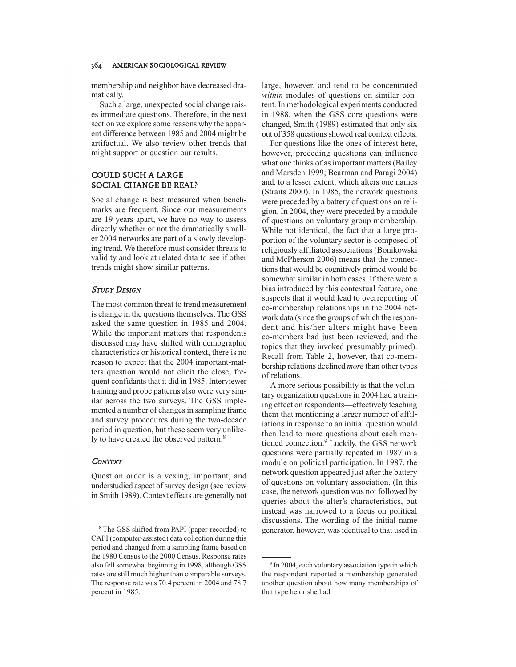membership and neighbor have decreased dramatically.

Such a large, unexpected social change raises immediate questions. Therefore, in the next section we explore some reasons why the apparent difference between 1985 and 2004 might be artifactual. We also review other trends that might support or question our results.

# COULD SUCH A LARGE SOCIAL CHANGE BE REAL?

Social change is best measured when benchmarks are frequent. Since our measurements are 19 years apart, we have no way to assess directly whether or not the dramatically smaller 2004 networks are part of a slowly developing trend. We therefore must consider threats to validity and look at related data to see if other trends might show similar patterns.

## **STUDY DESIGN**

The most common threat to trend measurement is change in the questions themselves. The GSS asked the same question in 1985 and 2004. While the important matters that respondents discussed may have shifted with demographic characteristics or historical context, there is no reason to expect that the 2004 important-matters question would not elicit the close, frequent confidants that it did in 1985. Interviewer training and probe patterns also were very similar across the two surveys. The GSS implemented a number of changes in sampling frame and survey procedures during the two-decade period in question, but these seem very unlikely to have created the observed pattern.<sup>8</sup>

## **CONTEXT**

Question order is a vexing, important, and understudied aspect of survey design (see review in Smith 1989). Context effects are generally not large, however, and tend to be concentrated *within* modules of questions on similar content. In methodological experiments conducted in 1988, when the GSS core questions were changed, Smith (1989) estimated that only six out of 358 questions showed real context effects.

For questions like the ones of interest here, however, preceding questions can influence what one thinks of as important matters (Bailey and Marsden 1999; Bearman and Paragi 2004) and, to a lesser extent, which alters one names (Straits 2000). In 1985, the network questions were preceded by a battery of questions on religion. In 2004, they were preceded by a module of questions on voluntary group membership. While not identical, the fact that a large proportion of the voluntary sector is composed of religiously affiliated associations (Bonikowski and McPherson 2006) means that the connections that would be cognitively primed would be somewhat similar in both cases. If there were a bias introduced by this contextual feature, one suspects that it would lead to overreporting of co-membership relationships in the 2004 network data (since the groups of which the respondent and his/her alters might have been co-members had just been reviewed, and the topics that they invoked presumably primed). Recall from Table 2, however, that co-membership relations declined *more* than other types of relations.

A more serious possibility is that the voluntary organization questions in 2004 had a training effect on respondents—effectively teaching them that mentioning a larger number of affiliations in response to an initial question would then lead to more questions about each mentioned connection.<sup>9</sup> Luckily, the GSS network questions were partially repeated in 1987 in a module on political participation. In 1987, the network question appeared just after the battery of questions on voluntary association. (In this case, the network question was not followed by queries about the alter's characteristics, but instead was narrowed to a focus on political discussions. The wording of the initial name generator, however, was identical to that used in

<sup>8</sup> The GSS shifted from PAPI (paper-recorded) to CAPI (computer-assisted) data collection during this period and changed from a sampling frame based on the 1980 Census to the 2000 Census. Response rates also fell somewhat beginning in 1998, although GSS rates are still much higher than comparable surveys. The response rate was 70.4 percent in 2004 and 78.7 percent in 1985.

<sup>&</sup>lt;sup>9</sup> In 2004, each voluntary association type in which the respondent reported a membership generated another question about how many memberships of that type he or she had.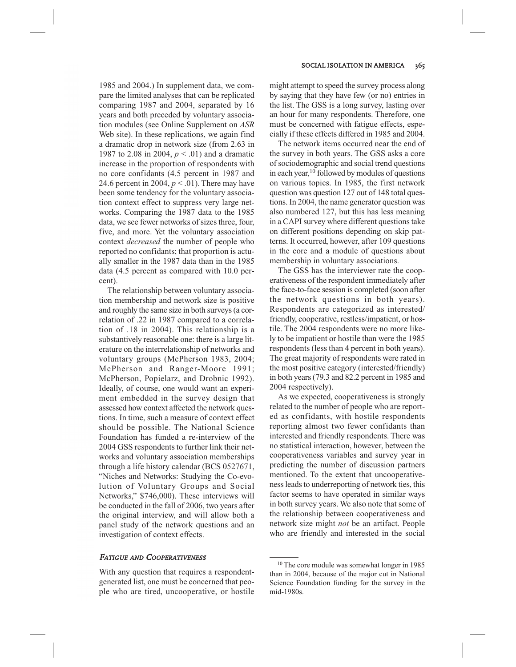1985 and 2004.) In supplement data, we compare the limited analyses that can be replicated comparing 1987 and 2004, separated by 16 years and both preceded by voluntary association modules (see Online Supplement on *ASR* Web site). In these replications, we again find a dramatic drop in network size (from 2.63 in 1987 to 2.08 in 2004, *p* < .01) and a dramatic increase in the proportion of respondents with no core confidants (4.5 percent in 1987 and 24.6 percent in 2004,  $p < .01$ ). There may have been some tendency for the voluntary association context effect to suppress very large networks. Comparing the 1987 data to the 1985 data, we see fewer networks of sizes three, four, five, and more. Yet the voluntary association context *decreased* the number of people who reported no confidants; that proportion is actually smaller in the 1987 data than in the 1985 data (4.5 percent as compared with 10.0 percent).

The relationship between voluntary association membership and network size is positive and roughly the same size in both surveys (a correlation of .22 in 1987 compared to a correlation of .18 in 2004). This relationship is a substantively reasonable one: there is a large literature on the interrelationship of networks and voluntary groups (McPherson 1983, 2004; McPherson and Ranger-Moore 1991; McPherson, Popielarz, and Drobnic 1992). Ideally, of course, one would want an experiment embedded in the survey design that assessed how context affected the network questions. In time, such a measure of context effect should be possible. The National Science Foundation has funded a re-interview of the 2004 GSS respondents to further link their networks and voluntary association memberships through a life history calendar (BCS 0527671, "Niches and Networks: Studying the Co-evolution of Voluntary Groups and Social Networks," \$746,000). These interviews will be conducted in the fall of 2006, two years after the original interview, and will allow both a panel study of the network questions and an investigation of context effects.

#### FATIGUE AND COOPERATIVENESS

With any question that requires a respondentgenerated list, one must be concerned that people who are tired, uncooperative, or hostile might attempt to speed the survey process along by saying that they have few (or no) entries in the list. The GSS is a long survey, lasting over an hour for many respondents. Therefore, one must be concerned with fatigue effects, especially if these effects differed in 1985 and 2004.

The network items occurred near the end of the survey in both years. The GSS asks a core of sociodemographic and social trend questions in each year,  $10$  followed by modules of questions on various topics. In 1985, the first network question was question 127 out of 148 total questions. In 2004, the name generator question was also numbered 127, but this has less meaning in a CAPI survey where different questions take on different positions depending on skip patterns. It occurred, however, after 109 questions in the core and a module of questions about membership in voluntary associations.

The GSS has the interviewer rate the cooperativeness of the respondent immediately after the face-to-face session is completed (soon after the network questions in both years). Respondents are categorized as interested/ friendly, cooperative, restless/impatient, or hostile. The 2004 respondents were no more likely to be impatient or hostile than were the 1985 respondents (less than 4 percent in both years). The great majority of respondents were rated in the most positive category (interested/friendly) in both years (79.3 and 82.2 percent in 1985 and 2004 respectively).

As we expected, cooperativeness is strongly related to the number of people who are reported as confidants, with hostile respondents reporting almost two fewer confidants than interested and friendly respondents. There was no statistical interaction, however, between the cooperativeness variables and survey year in predicting the number of discussion partners mentioned. To the extent that uncooperativeness leads to underreporting of network ties, this factor seems to have operated in similar ways in both survey years. We also note that some of the relationship between cooperativeness and network size might *not* be an artifact. People who are friendly and interested in the social

<sup>&</sup>lt;sup>10</sup> The core module was somewhat longer in 1985 than in 2004, because of the major cut in National Science Foundation funding for the survey in the mid-1980s.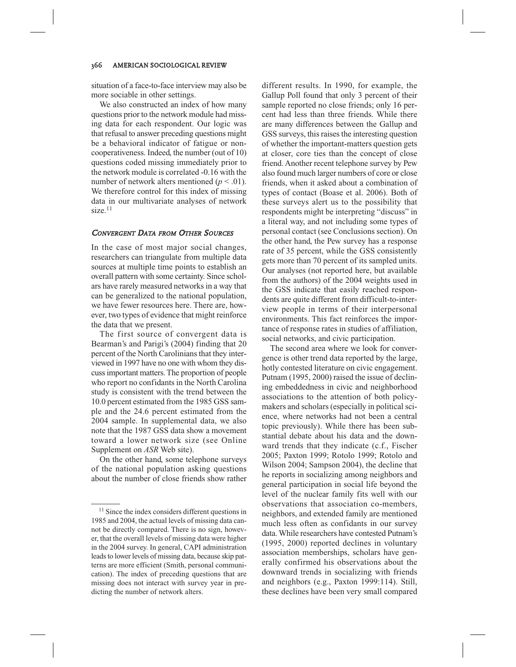situation of a face-to-face interview may also be more sociable in other settings.

We also constructed an index of how many questions prior to the network module had missing data for each respondent. Our logic was that refusal to answer preceding questions might be a behavioral indicator of fatigue or noncooperativeness. Indeed, the number (out of 10) questions coded missing immediately prior to the network module is correlated -0.16 with the number of network alters mentioned  $(p < .01)$ . We therefore control for this index of missing data in our multivariate analyses of network  $size.<sup>11</sup>$ 

## CONVERGENT DATA FROM OTHER SOURCES

In the case of most major social changes, researchers can triangulate from multiple data sources at multiple time points to establish an overall pattern with some certainty. Since scholars have rarely measured networks in a way that can be generalized to the national population, we have fewer resources here. There are, however, two types of evidence that might reinforce the data that we present.

The first source of convergent data is Bearman's and Parigi's (2004) finding that 20 percent of the North Carolinians that they interviewed in 1997 have no one with whom they discuss important matters. The proportion of people who report no confidants in the North Carolina study is consistent with the trend between the 10.0 percent estimated from the 1985 GSS sample and the 24.6 percent estimated from the 2004 sample. In supplemental data, we also note that the 1987 GSS data show a movement toward a lower network size (see Online Supplement on *ASR* Web site).

On the other hand, some telephone surveys of the national population asking questions about the number of close friends show rather different results. In 1990, for example, the Gallup Poll found that only 3 percent of their sample reported no close friends; only 16 percent had less than three friends. While there are many differences between the Gallup and GSS surveys, this raises the interesting question of whether the important-matters question gets at closer, core ties than the concept of close friend. Another recent telephone survey by Pew also found much larger numbers of core or close friends, when it asked about a combination of types of contact (Boase et al. 2006). Both of these surveys alert us to the possibility that respondents might be interpreting "discuss" in a literal way, and not including some types of personal contact (see Conclusions section). On the other hand, the Pew survey has a response rate of 35 percent, while the GSS consistently gets more than 70 percent of its sampled units. Our analyses (not reported here, but available from the authors) of the 2004 weights used in the GSS indicate that easily reached respondents are quite different from difficult-to-interview people in terms of their interpersonal environments. This fact reinforces the importance of response rates in studies of affiliation, social networks, and civic participation.

The second area where we look for convergence is other trend data reported by the large, hotly contested literature on civic engagement. Putnam (1995, 2000) raised the issue of declining embeddedness in civic and neighborhood associations to the attention of both policymakers and scholars (especially in political science, where networks had not been a central topic previously). While there has been substantial debate about his data and the downward trends that they indicate (c.f., Fischer 2005; Paxton 1999; Rotolo 1999; Rotolo and Wilson 2004; Sampson 2004), the decline that he reports in socializing among neighbors and general participation in social life beyond the level of the nuclear family fits well with our observations that association co-members, neighbors, and extended family are mentioned much less often as confidants in our survey data. While researchers have contested Putnam's (1995, 2000) reported declines in voluntary association memberships, scholars have generally confirmed his observations about the downward trends in socializing with friends and neighbors (e.g., Paxton 1999:114). Still, these declines have been very small compared

<sup>&</sup>lt;sup>11</sup> Since the index considers different questions in 1985 and 2004, the actual levels of missing data cannot be directly compared. There is no sign, however, that the overall levels of missing data were higher in the 2004 survey. In general, CAPI administration leads to lower levels of missing data, because skip patterns are more efficient (Smith, personal communication). The index of preceding questions that are missing does not interact with survey year in predicting the number of network alters.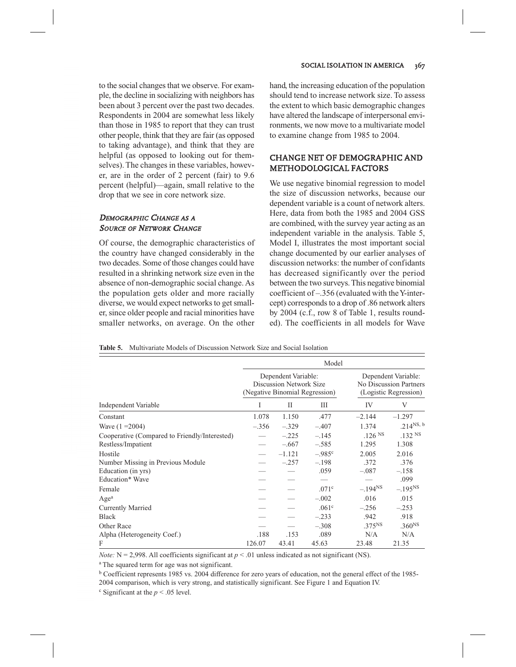to the social changes that we observe. For example, the decline in socializing with neighbors has been about 3 percent over the past two decades. Respondents in 2004 are somewhat less likely than those in 1985 to report that they can trust other people, think that they are fair (as opposed to taking advantage), and think that they are helpful (as opposed to looking out for themselves). The changes in these variables, however, are in the order of 2 percent (fair) to 9.6 percent (helpful)—again, small relative to the drop that we see in core network size.

## DEMOGRAPHIC CHANGE AS A SOURCE OF NETWORK CHANGE

Of course, the demographic characteristics of the country have changed considerably in the two decades. Some of those changes could have resulted in a shrinking network size even in the absence of non-demographic social change. As the population gets older and more racially diverse, we would expect networks to get smaller, since older people and racial minorities have smaller networks, on average. On the other hand, the increasing education of the population should tend to increase network size. To assess the extent to which basic demographic changes have altered the landscape of interpersonal environments, we now move to a multivariate model to examine change from 1985 to 2004.

# CHANGE NET OF DEMOGRAPHIC AND METHODOLOGICAL FACTORS

We use negative binomial regression to model the size of discussion networks, because our dependent variable is a count of network alters. Here, data from both the 1985 and 2004 GSS are combined, with the survey year acting as an independent variable in the analysis. Table 5, Model I, illustrates the most important social change documented by our earlier analyses of discussion networks: the number of confidants has decreased significantly over the period between the two surveys. This negative binomial coefficient of –.356 (evaluated with the Y-intercept) corresponds to a drop of .86 network alters by 2004 (c.f., row 8 of Table 1, results rounded). The coefficients in all models for Wave

|  | <b>Table 5.</b> Multivariate Models of Discussion Network Size and Social Isolation |  |  |  |  |
|--|-------------------------------------------------------------------------------------|--|--|--|--|
|--|-------------------------------------------------------------------------------------|--|--|--|--|

|                                               | Model   |                                                       |                                |                    |                                                                        |  |  |
|-----------------------------------------------|---------|-------------------------------------------------------|--------------------------------|--------------------|------------------------------------------------------------------------|--|--|
|                                               |         | Dependent Variable:<br><b>Discussion Network Size</b> | (Negative Binomial Regression) |                    | Dependent Variable:<br>No Discussion Partners<br>(Logistic Regression) |  |  |
| <b>Independent Variable</b>                   | I       | Н                                                     | Ш                              | IV                 | V                                                                      |  |  |
| Constant                                      | 1.078   | 1.150                                                 | .477                           | $-2.144$           | $-1.297$                                                               |  |  |
| Wave $(1 = 2004)$                             | $-.356$ | $-.329$                                               | $-.407$                        | 1.374              | .214 $NS, b$                                                           |  |  |
| Cooperative (Compared to Friendly/Interested) |         | $-.225$                                               | $-.145$                        | .126 <sup>NS</sup> | .132 <sup>NS</sup>                                                     |  |  |
| Restless/Impatient                            |         | $-.667$                                               | $-.585$                        | 1.295              | 1.308                                                                  |  |  |
| Hostile                                       |         | $-1.121$                                              | $-985$ <sup>c</sup>            | 2.005              | 2.016                                                                  |  |  |
| Number Missing in Previous Module             |         | $-.257$                                               | $-.198$                        | .372               | .376                                                                   |  |  |
| Education (in yrs)                            |         |                                                       | .059                           | $-.087$            | $-.158$                                                                |  |  |
| Education* Wave                               |         |                                                       |                                |                    | .099                                                                   |  |  |
| Female                                        |         |                                                       | .071c                          | $-.194NS$          | $-.195NS$                                                              |  |  |
| Age <sup>a</sup>                              |         |                                                       | $-.002$                        | .016               | .015                                                                   |  |  |
| Currently Married                             |         |                                                       | .061 <sup>c</sup>              | $-.256$            | $-.253$                                                                |  |  |
| <b>Black</b>                                  |         |                                                       | $-.233$                        | .942               | .918                                                                   |  |  |
| Other Race                                    |         |                                                       | $-.308$                        | .375 <sup>NS</sup> | .360 <sup>NS</sup>                                                     |  |  |
| Alpha (Heterogeneity Coef.)                   | .188    | .153                                                  | .089                           | N/A                | N/A                                                                    |  |  |
| F                                             | 126.07  | 43.41                                                 | 45.63                          | 23.48              | 21.35                                                                  |  |  |

*Note:*  $N = 2,998$ . All coefficients significant at  $p < .01$  unless indicated as not significant (NS).

<sup>a</sup> The squared term for age was not significant.

<sup>b</sup> Coefficient represents 1985 vs. 2004 difference for zero years of education, not the general effect of the 1985- 2004 comparison, which is very strong, and statistically significant. See Figure 1 and Equation IV.

 $\degree$  Significant at the  $p \le 0.05$  level.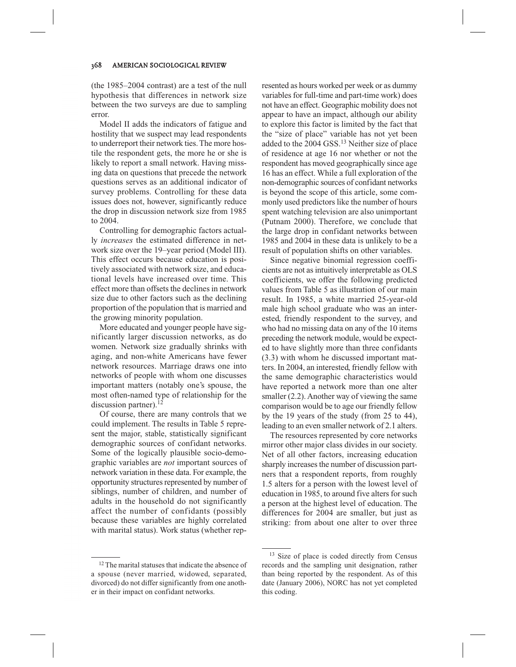(the 1985–2004 contrast) are a test of the null hypothesis that differences in network size between the two surveys are due to sampling error.

Model II adds the indicators of fatigue and hostility that we suspect may lead respondents to underreport their network ties. The more hostile the respondent gets, the more he or she is likely to report a small network. Having missing data on questions that precede the network questions serves as an additional indicator of survey problems. Controlling for these data issues does not, however, significantly reduce the drop in discussion network size from 1985 to 2004.

Controlling for demographic factors actually *increases* the estimated difference in network size over the 19–year period (Model III). This effect occurs because education is positively associated with network size, and educational levels have increased over time. This effect more than offsets the declines in network size due to other factors such as the declining proportion of the population that is married and the growing minority population.

More educated and younger people have significantly larger discussion networks, as do women. Network size gradually shrinks with aging, and non-white Americans have fewer network resources. Marriage draws one into networks of people with whom one discusses important matters (notably one's spouse, the most often-named type of relationship for the discussion partner). $^{12}$ 

Of course, there are many controls that we could implement. The results in Table 5 represent the major, stable, statistically significant demographic sources of confidant networks. Some of the logically plausible socio-demographic variables are *not* important sources of network variation in these data. For example, the opportunity structures represented by number of siblings, number of children, and number of adults in the household do not significantly affect the number of confidants (possibly because these variables are highly correlated with marital status). Work status (whether rep-

<sup>12</sup> The marital statuses that indicate the absence of a spouse (never married, widowed, separated, divorced) do not differ significantly from one another in their impact on confidant networks.

resented as hours worked per week or as dummy variables for full-time and part-time work) does not have an effect. Geographic mobility does not appear to have an impact, although our ability to explore this factor is limited by the fact that the "size of place" variable has not yet been added to the 2004 GSS.<sup>13</sup> Neither size of place of residence at age 16 nor whether or not the respondent has moved geographically since age 16 has an effect. While a full exploration of the non-demographic sources of confidant networks is beyond the scope of this article, some commonly used predictors like the number of hours spent watching television are also unimportant (Putnam 2000). Therefore, we conclude that the large drop in confidant networks between 1985 and 2004 in these data is unlikely to be a result of population shifts on other variables.

Since negative binomial regression coefficients are not as intuitively interpretable as OLS coefficients, we offer the following predicted values from Table 5 as illustration of our main result. In 1985, a white married 25-year-old male high school graduate who was an interested, friendly respondent to the survey, and who had no missing data on any of the 10 items preceding the network module, would be expected to have slightly more than three confidants (3.3) with whom he discussed important matters. In 2004, an interested, friendly fellow with the same demographic characteristics would have reported a network more than one alter smaller (2.2). Another way of viewing the same comparison would be to age our friendly fellow by the 19 years of the study (from 25 to 44), leading to an even smaller network of 2.1 alters.

The resources represented by core networks mirror other major class divides in our society. Net of all other factors, increasing education sharply increases the number of discussion partners that a respondent reports, from roughly 1.5 alters for a person with the lowest level of education in 1985, to around five alters for such a person at the highest level of education. The differences for 2004 are smaller, but just as striking: from about one alter to over three

<sup>&</sup>lt;sup>13</sup> Size of place is coded directly from Census records and the sampling unit designation, rather than being reported by the respondent. As of this date (January 2006), NORC has not yet completed this coding.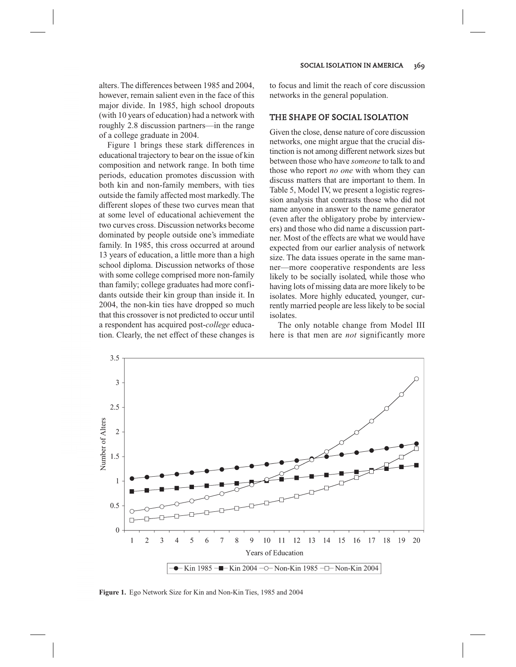alters. The differences between 1985 and 2004, however, remain salient even in the face of this major divide. In 1985, high school dropouts (with 10 years of education) had a network with roughly 2.8 discussion partners—in the range of a college graduate in 2004.

Figure 1 brings these stark differences in educational trajectory to bear on the issue of kin composition and network range. In both time periods, education promotes discussion with both kin and non-family members, with ties outside the family affected most markedly. The different slopes of these two curves mean that at some level of educational achievement the two curves cross. Discussion networks become dominated by people outside one's immediate family. In 1985, this cross occurred at around 13 years of education, a little more than a high school diploma. Discussion networks of those with some college comprised more non-family than family; college graduates had more confidants outside their kin group than inside it. In 2004, the non-kin ties have dropped so much that this crossover is not predicted to occur until a respondent has acquired post-*college* education. Clearly, the net effect of these changes is to focus and limit the reach of core discussion networks in the general population.

# THE SHAPE OF SOCIAL ISOLATION

Given the close, dense nature of core discussion networks, one might argue that the crucial distinction is not among different network sizes but between those who have *someone* to talk to and those who report *no one* with whom they can discuss matters that are important to them. In Table 5, Model IV, we present a logistic regression analysis that contrasts those who did not name anyone in answer to the name generator (even after the obligatory probe by interviewers) and those who did name a discussion partner. Most of the effects are what we would have expected from our earlier analysis of network size. The data issues operate in the same manner—more cooperative respondents are less likely to be socially isolated, while those who having lots of missing data are more likely to be isolates. More highly educated, younger, currently married people are less likely to be social isolates.

The only notable change from Model III here is that men are *not* significantly more



**Figure 1.** Ego Network Size for Kin and Non-Kin Ties, 1985 and 2004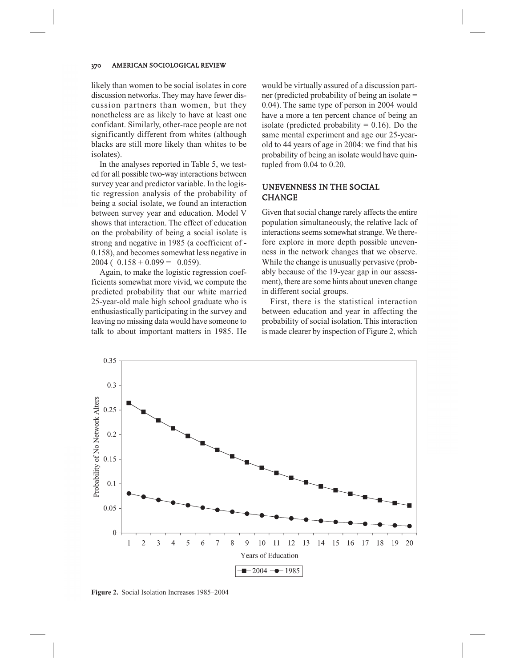likely than women to be social isolates in core discussion networks. They may have fewer discussion partners than women, but they nonetheless are as likely to have at least one confidant. Similarly, other-race people are not significantly different from whites (although blacks are still more likely than whites to be isolates).

In the analyses reported in Table 5, we tested for all possible two-way interactions between survey year and predictor variable. In the logistic regression analysis of the probability of being a social isolate, we found an interaction between survey year and education. Model V shows that interaction. The effect of education on the probability of being a social isolate is strong and negative in 1985 (a coefficient of - 0.158), and becomes somewhat less negative in  $2004 (-0.158 + 0.099 = -0.059)$ .

Again, to make the logistic regression coefficients somewhat more vivid, we compute the predicted probability that our white married 25-year-old male high school graduate who is enthusiastically participating in the survey and leaving no missing data would have someone to talk to about important matters in 1985. He

would be virtually assured of a discussion partner (predicted probability of being an isolate = 0.04). The same type of person in 2004 would have a more a ten percent chance of being an isolate (predicted probability  $= 0.16$ ). Do the same mental experiment and age our 25-yearold to 44 years of age in 2004: we find that his probability of being an isolate would have quintupled from 0.04 to 0.20.

# UNEVENNESS IN THE SOCIAL CHANGE

Given that social change rarely affects the entire population simultaneously, the relative lack of interactions seems somewhat strange. We therefore explore in more depth possible unevenness in the network changes that we observe. While the change is unusually pervasive (probably because of the 19-year gap in our assessment), there are some hints about uneven change in different social groups.

First, there is the statistical interaction between education and year in affecting the probability of social isolation. This interaction is made clearer by inspection of Figure 2, which



**Figure 2.** Social Isolation Increases 1985–2004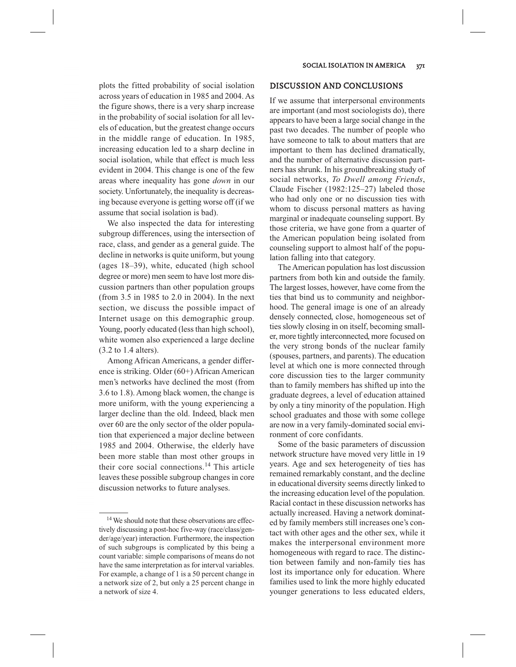plots the fitted probability of social isolation across years of education in 1985 and 2004. As the figure shows, there is a very sharp increase in the probability of social isolation for all levels of education, but the greatest change occurs in the middle range of education. In 1985, increasing education led to a sharp decline in social isolation, while that effect is much less evident in 2004. This change is one of the few areas where inequality has gone *down* in our society. Unfortunately, the inequality is decreasing because everyone is getting worse off (if we assume that social isolation is bad).

We also inspected the data for interesting subgroup differences, using the intersection of race, class, and gender as a general guide. The decline in networks is quite uniform, but young (ages 18–39), white, educated (high school degree or more) men seem to have lost more discussion partners than other population groups (from 3.5 in 1985 to 2.0 in 2004). In the next section, we discuss the possible impact of Internet usage on this demographic group. Young, poorly educated (less than high school), white women also experienced a large decline (3.2 to 1.4 alters).

Among African Americans, a gender difference is striking. Older (60+) African American men's networks have declined the most (from 3.6 to 1.8). Among black women, the change is more uniform, with the young experiencing a larger decline than the old. Indeed, black men over 60 are the only sector of the older population that experienced a major decline between 1985 and 2004. Otherwise, the elderly have been more stable than most other groups in their core social connections.<sup>14</sup> This article leaves these possible subgroup changes in core discussion networks to future analyses.

## DISCUSSION AND CONCLUSIONS

If we assume that interpersonal environments are important (and most sociologists do), there appears to have been a large social change in the past two decades. The number of people who have someone to talk to about matters that are important to them has declined dramatically, and the number of alternative discussion partners has shrunk. In his groundbreaking study of social networks, *To Dwell among Friends*, Claude Fischer (1982:125–27) labeled those who had only one or no discussion ties with whom to discuss personal matters as having marginal or inadequate counseling support. By those criteria, we have gone from a quarter of the American population being isolated from counseling support to almost half of the population falling into that category.

The American population has lost discussion partners from both kin and outside the family. The largest losses, however, have come from the ties that bind us to community and neighborhood. The general image is one of an already densely connected, close, homogeneous set of ties slowly closing in on itself, becoming smaller, more tightly interconnected, more focused on the very strong bonds of the nuclear family (spouses, partners, and parents). The education level at which one is more connected through core discussion ties to the larger community than to family members has shifted up into the graduate degrees, a level of education attained by only a tiny minority of the population. High school graduates and those with some college are now in a very family-dominated social environment of core confidants.

Some of the basic parameters of discussion network structure have moved very little in 19 years. Age and sex heterogeneity of ties has remained remarkably constant, and the decline in educational diversity seems directly linked to the increasing education level of the population. Racial contact in these discussion networks has actually increased. Having a network dominated by family members still increases one's contact with other ages and the other sex, while it makes the interpersonal environment more homogeneous with regard to race. The distinction between family and non-family ties has lost its importance only for education. Where families used to link the more highly educated younger generations to less educated elders,

<sup>14</sup> We should note that these observations are effectively discussing a post-hoc five-way (race/class/gender/age/year) interaction. Furthermore, the inspection of such subgroups is complicated by this being a count variable: simple comparisons of means do not have the same interpretation as for interval variables. For example, a change of 1 is a 50 percent change in a network size of 2, but only a 25 percent change in a network of size 4.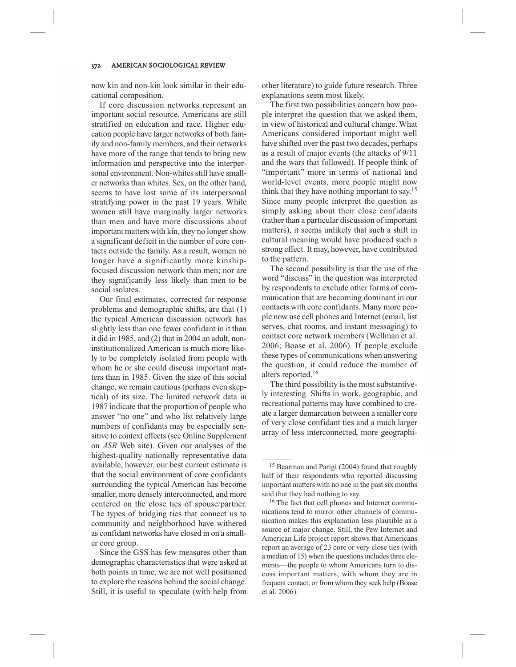now kin and non-kin look similar in their educational composition.

If core discussion networks represent an important social resource, Americans are still stratified on education and race. Higher education people have larger networks of both family and non-family members, and their networks have more of the range that tends to bring new information and perspective into the interpersonal environment. Non-whites still have smaller networks than whites. Sex, on the other hand, seems to have lost some of its interpersonal stratifying power in the past 19 years. While women still have marginally larger networks than men and have more discussions about important matters with kin, they no longer show a significant deficit in the number of core contacts outside the family. As a result, women no longer have a significantly more kinshipfocused discussion network than men; nor are they significantly less likely than men to be social isolates.

Our final estimates, corrected for response problems and demographic shifts, are that (1) the typical American discussion network has slightly less than one fewer confidant in it than it did in 1985, and (2) that in 2004 an adult, noninstitutionalized American is much more likely to be completely isolated from people with whom he or she could discuss important matters than in 1985. Given the size of this social change, we remain cautious (perhaps even skeptical) of its size. The limited network data in 1987 indicate that the proportion of people who answer "no one" and who list relatively large numbers of confidants may be especially sensitive to context effects (see Online Supplement on *ASR* Web site). Given our analyses of the highest-quality nationally representative data available, however, our best current estimate is that the social environment of core confidants surrounding the typical American has become smaller, more densely interconnected, and more centered on the close ties of spouse/partner. The types of bridging ties that connect us to community and neighborhood have withered as confidant networks have closed in on a smaller core group.

Since the GSS has few measures other than demographic characteristics that were asked at both points in time, we are not well positioned to explore the reasons behind the social change. Still, it is useful to speculate (with help from

other literature) to guide future research. Three explanations seem most likely.

The first two possibilities concern how people interpret the question that we asked them, in view of historical and cultural change. What Americans considered important might well have shifted over the past two decades, perhaps as a result of major events (the attacks of 9/11 and the wars that followed). If people think of "important" more in terms of national and world-level events, more people might now think that they have nothing important to say.<sup>15</sup> Since many people interpret the question as simply asking about their close confidants (rather than a particular discussion of important matters), it seems unlikely that such a shift in cultural meaning would have produced such a strong effect. It may, however, have contributed to the pattern.

The second possibility is that the use of the word "discuss" in the question was interpreted by respondents to exclude other forms of communication that are becoming dominant in our contacts with core confidants. Many more people now use cell phones and Internet (email, list serves, chat rooms, and instant messaging) to contact core network members (Wellman et al. 2006; Boase et al. 2006). If people exclude these types of communications when answering the question, it could reduce the number of alters reported.<sup>16</sup>

The third possibility is the most substantively interesting. Shifts in work, geographic, and recreational patterns may have combined to create a larger demarcation between a smaller core of very close confidant ties and a much larger array of less interconnected, more geographi-

<sup>15</sup> Bearman and Parigi (2004) found that roughly half of their respondents who reported discussing important matters with no one in the past six months said that they had nothing to say.

<sup>&</sup>lt;sup>16</sup> The fact that cell phones and Internet communications tend to mirror other channels of communication makes this explanation less plausible as a source of major change. Still, the Pew Internet and American Life project report shows that Americans report an average of 23 core or very close ties (with a median of 15) when the questions includes three elements—the people to whom Americans turn to discuss important matters, with whom they are in frequent contact, or from whom they seek help (Boase et al. 2006).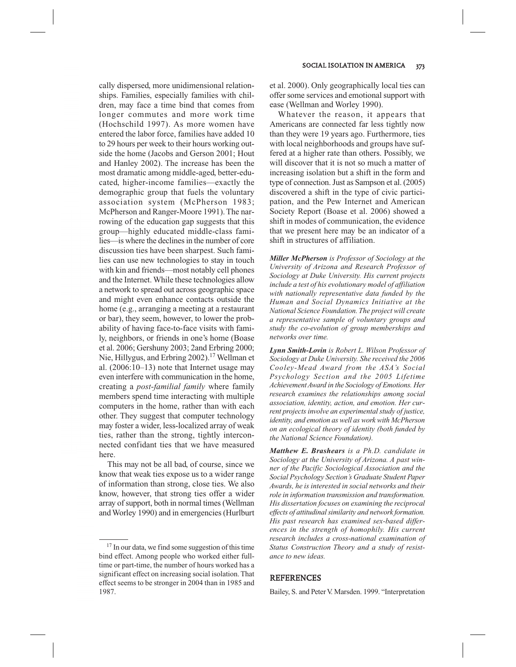cally dispersed, more unidimensional relationships. Families, especially families with children, may face a time bind that comes from longer commutes and more work time (Hochschild 1997). As more women have entered the labor force, families have added 10 to 29 hours per week to their hours working outside the home (Jacobs and Gerson 2001; Hout and Hanley 2002). The increase has been the most dramatic among middle-aged, better-educated, higher-income families—exactly the demographic group that fuels the voluntary association system (McPherson 1983; McPherson and Ranger-Moore 1991). The narrowing of the education gap suggests that this group—highly educated middle-class families—is where the declines in the number of core discussion ties have been sharpest. Such families can use new technologies to stay in touch with kin and friends—most notably cell phones and the Internet. While these technologies allow a network to spread out across geographic space and might even enhance contacts outside the home (e.g., arranging a meeting at a restaurant or bar), they seem, however, to lower the probability of having face-to-face visits with family, neighbors, or friends in one's home (Boase et al. 2006; Gershuny 2003; 2and Erbring 2000; Nie, Hillygus, and Erbring 2002).<sup>17</sup> Wellman et al. (2006:10–13) note that Internet usage may even interfere with communication in the home, creating a *post-familial family* where family members spend time interacting with multiple computers in the home, rather than with each other. They suggest that computer technology may foster a wider, less-localized array of weak ties, rather than the strong, tightly interconnected confidant ties that we have measured here.

This may not be all bad, of course, since we know that weak ties expose us to a wider range of information than strong, close ties. We also know, however, that strong ties offer a wider array of support, both in normal times (Wellman and Worley 1990) and in emergencies (Hurlburt et al. 2000). Only geographically local ties can offer some services and emotional support with ease (Wellman and Worley 1990).

Whatever the reason, it appears that Americans are connected far less tightly now than they were 19 years ago. Furthermore, ties with local neighborhoods and groups have suffered at a higher rate than others. Possibly, we will discover that it is not so much a matter of increasing isolation but a shift in the form and type of connection. Just as Sampson et al. (2005) discovered a shift in the type of civic participation, and the Pew Internet and American Society Report (Boase et al. 2006) showed a shift in modes of communication, the evidence that we present here may be an indicator of a shift in structures of affiliation.

*Miller McPherson is Professor of Sociology at the University of Arizona and Research Professor of Sociology at Duke University. His current projects include a test of his evolutionary model of affiliation with nationally representative data funded by the Human and Social Dynamics Initiative at the National Science Foundation. The project will create a representative sample of voluntary groups and study the co-evolution of group memberships and networks over time.*

*Lynn Smith-Lovin is Robert L. Wilson Professor of Sociology at Duke University. She received the 2006 Cooley-Mead Award from the ASA's Social Psychology Section and the 2005 Lifetime Achievement Award in the Sociology of Emotions. Her research examines the relationships among social association, identity, action, and emotion. Her current projects involve an experimental study of justice, identity, and emotion as well as work with McPherson on an ecological theory of identity (both funded by the National Science Foundation).*

*Matthew E. Brashears is a Ph.D. candidate in Sociology at the University of Arizona. A past winner of the Pacific Sociological Association and the Social Psychology Section's Graduate Student Paper Awards, he is interested in social networks and their role in information transmission and transformation. His dissertation focuses on examining the reciprocal effects of attitudinal similarity and network formation. His past research has examined sex-based differences in the strength of homophily. His current research includes a cross-national examination of Status Construction Theory and a study of resistance to new ideas.*

#### REFERENCES

<sup>&</sup>lt;sup>17</sup> In our data, we find some suggestion of this time bind effect. Among people who worked either fulltime or part-time, the number of hours worked has a significant effect on increasing social isolation. That effect seems to be stronger in 2004 than in 1985 and 1987.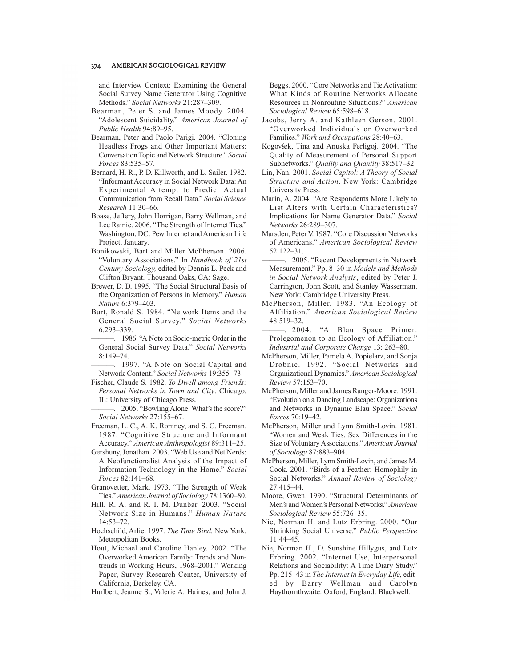and Interview Context: Examining the General Social Survey Name Generator Using Cognitive Methods." *Social Networks* 21:287–309.

- Bearman, Peter S. and James Moody. 2004. "Adolescent Suicidality." *American Journal of Public Health* 94:89–95.
- Bearman, Peter and Paolo Parigi. 2004. "Cloning Headless Frogs and Other Important Matters: Conversation Topic and Network Structure." *Social Forces* 83:535–57.
- Bernard, H. R., P. D. Killworth, and L. Sailer. 1982. "Informant Accuracy in Social Network Data: An Experimental Attempt to Predict Actual Communication from Recall Data." *Social Science Research* 11:30–66.
- Boase, Jeffery, John Horrigan, Barry Wellman, and Lee Rainie. 2006. "The Strength of Internet Ties." Washington, DC: Pew Internet and American Life Project, January.
- Bonikowski, Bart and Miller McPherson. 2006. "Voluntary Associations." In *Handbook of 21st Century Sociology,* edited by Dennis L. Peck and Clifton Bryant. Thousand Oaks, CA: Sage.
- Brewer, D. D. 1995. "The Social Structural Basis of the Organization of Persons in Memory." *Human Nature* 6:379–403.
- Burt, Ronald S. 1984. "Network Items and the General Social Survey." *Social Networks* 6:293–339.
- ———. 1986. "A Note on Socio-metric Order in the General Social Survey Data." *Social Networks* 8:149–74.
- ———. 1997. "A Note on Social Capital and Network Content." *Social Networks* 19:355–73.
- Fischer, Claude S. 1982. *To Dwell among Friends: Personal Networks in Town and City*. Chicago, IL: University of Chicago Press.
- ———. 2005. "Bowling Alone: What's the score?" *Social Networks* 27:155–67.
- Freeman, L. C., A. K. Romney, and S. C. Freeman. 1987. "Cognitive Structure and Informant Accuracy." *American Anthropologist* 89:311–25.
- Gershuny, Jonathan. 2003. "Web Use and Net Nerds: A Neofunctionalist Analysis of the Impact of Information Technology in the Home." *Social Forces* 82:141–68.
- Granovetter, Mark. 1973. "The Strength of Weak Ties." *American Journal of Sociology* 78:1360–80.
- Hill, R. A. and R. I. M. Dunbar. 2003. "Social Network Size in Humans." *Human Nature* 14:53–72.
- Hochschild, Arlie. 1997. *The Time Bind.* New York: Metropolitan Books.
- Hout, Michael and Caroline Hanley. 2002. "The Overworked American Family: Trends and Nontrends in Working Hours, 1968–2001." Working Paper, Survey Research Center, University of California, Berkeley, CA.

Hurlbert, Jeanne S., Valerie A. Haines, and John J.

Beggs. 2000. "Core Networks and Tie Activation: What Kinds of Routine Networks Allocate Resources in Nonroutine Situations?" *American Sociological Review* 65:598–618.

- Jacobs, Jerry A. and Kathleen Gerson. 2001. "Overworked Individuals or Overworked Families." *Work and Occupations* 28:40–63.
- Kogovšek, Tina and Anuska Ferligoj. 2004. "The Quality of Measurement of Personal Support Subnetworks." *Quality and Quantity* 38:517–32.
- Lin, Nan. 2001. *Social Capitol: A Theory of Social Structure and Action*. New York: Cambridge University Press.
- Marin, A. 2004. "Are Respondents More Likely to List Alters with Certain Characteristics? Implications for Name Generator Data." *Social Networks* 26:289–307.
- Marsden, Peter V. 1987. "Core Discussion Networks of Americans." *American Sociological Review* 52:122–31.
- -. 2005. "Recent Developments in Network Measurement." Pp. 8–30 in *Models and Methods in Social Network Analysis*, edited by Peter J. Carrington, John Scott, and Stanley Wasserman. New York: Cambridge University Press.
- McPherson, Miller. 1983. "An Ecology of Affiliation." *American Sociological Review* 48:519–32.
- -. 2004. "A Blau Space Primer: Prolegomenon to an Ecology of Affiliation." *Industrial and Corporate Change* 13: 263–80.
- McPherson, Miller, Pamela A. Popielarz, and Sonja Drobnic. 1992. "Social Networks and Organizational Dynamics." *American Sociological Review* 57:153–70.
- McPherson, Miller and James Ranger-Moore. 1991. "Evolution on a Dancing Landscape: Organizations and Networks in Dynamic Blau Space." *Social Forces* 70:19–42.
- McPherson, Miller and Lynn Smith-Lovin. 1981. "Women and Weak Ties: Sex Differences in the Size of Voluntary Associations." *American Journal of Sociology* 87:883–904.
- McPherson, Miller, Lynn Smith-Lovin, and James M. Cook. 2001. "Birds of a Feather: Homophily in Social Networks." *Annual Review of Sociology* 27:415–44.
- Moore, Gwen. 1990. "Structural Determinants of Men's and Women's Personal Networks." *American Sociological Review* 55:726–35.
- Nie, Norman H. and Lutz Erbring. 2000. "Our Shrinking Social Universe." *Public Perspective* 11:44–45.
- Nie, Norman H., D. Sunshine Hillygus, and Lutz Erbring. 2002. "Internet Use, Interpersonal Relations and Sociability: A Time Diary Study." Pp. 215–43 in *The Internet in Everyday Life,* edited by Barry Wellman and Carolyn Haythornthwaite. Oxford, England: Blackwell.